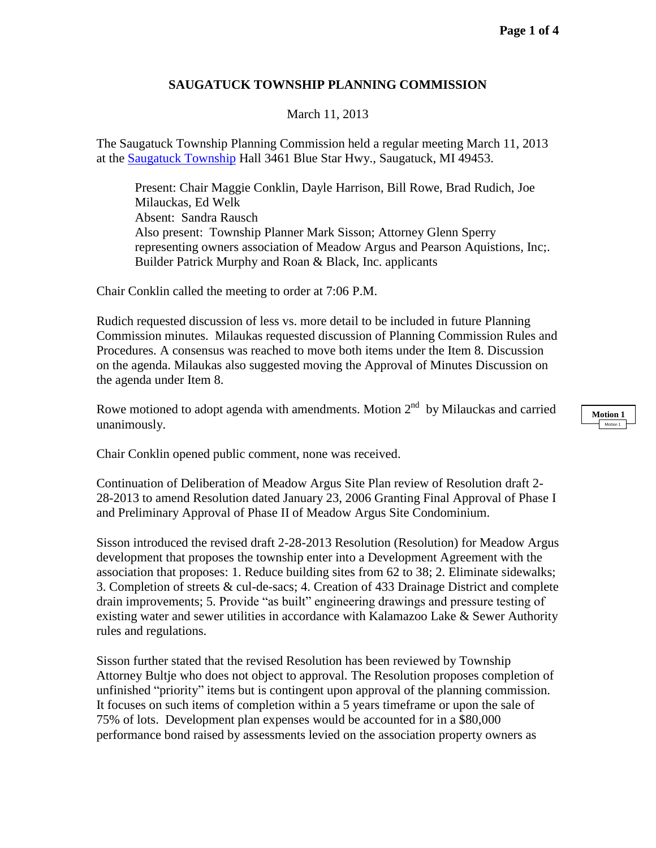## **SAUGATUCK TOWNSHIP PLANNING COMMISSION**

March 11, 2013

The Saugatuck Township Planning Commission held a regular meeting March 11, 2013 at the [Saugatuck](http://www.saugatucktownship.org/) Township Hall 3461 Blue Star Hwy., Saugatuck, MI 49453.

Present: Chair Maggie Conklin, Dayle Harrison, Bill Rowe, Brad Rudich, Joe Milauckas, Ed Welk Absent: Sandra Rausch Also present: Township Planner Mark Sisson; Attorney Glenn Sperry representing owners association of Meadow Argus and Pearson Aquistions, Inc;. Builder Patrick Murphy and Roan & Black, Inc. applicants

Chair Conklin called the meeting to order at 7:06 P.M.

Rudich requested discussion of less vs. more detail to be included in future Planning Commission minutes. Milaukas requested discussion of Planning Commission Rules and Procedures. A consensus was reached to move both items under the Item 8. Discussion on the agenda. Milaukas also suggested moving the Approval of Minutes Discussion on the agenda under Item 8.

Rowe motioned to adopt agenda with amendments. Motion  $2<sup>nd</sup>$  by Milauckas and carried unanimously.

Chair Conklin opened public comment, none was received.

Continuation of Deliberation of Meadow Argus Site Plan review of Resolution draft 2- 28-2013 to amend Resolution dated January 23, 2006 Granting Final Approval of Phase I and Preliminary Approval of Phase II of Meadow Argus Site Condominium.

Sisson introduced the revised draft 2-28-2013 Resolution (Resolution) for Meadow Argus development that proposes the township enter into a Development Agreement with the association that proposes: 1. Reduce building sites from 62 to 38; 2. Eliminate sidewalks; 3. Completion of streets & cul-de-sacs; 4. Creation of 433 Drainage District and complete drain improvements; 5. Provide "as built" engineering drawings and pressure testing of existing water and sewer utilities in accordance with Kalamazoo Lake & Sewer Authority rules and regulations.

Sisson further stated that the revised Resolution has been reviewed by Township Attorney Bultje who does not object to approval. The Resolution proposes completion of unfinished "priority" items but is contingent upon approval of the planning commission. It focuses on such items of completion within a 5 years timeframe or upon the sale of 75% of lots. Development plan expenses would be accounted for in a \$80,000 performance bond raised by assessments levied on the association property owners as

**Motion 1** Motion 1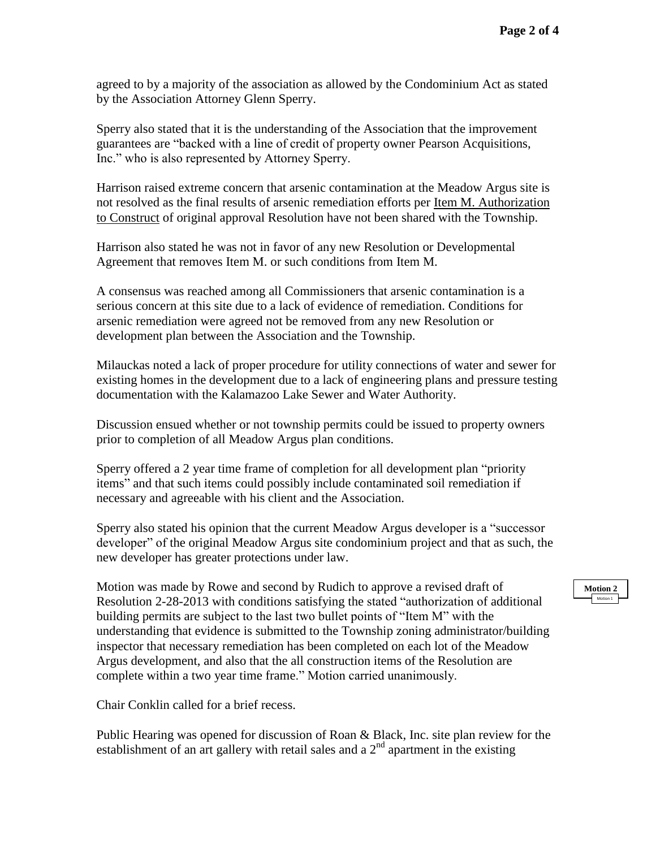agreed to by a majority of the association as allowed by the Condominium Act as stated by the Association Attorney Glenn Sperry.

Sperry also stated that it is the understanding of the Association that the improvement guarantees are "backed with a line of credit of property owner Pearson Acquisitions, Inc." who is also represented by Attorney Sperry.

Harrison raised extreme concern that arsenic contamination at the Meadow Argus site is not resolved as the final results of arsenic remediation efforts per Item M. Authorization to Construct of original approval Resolution have not been shared with the Township.

Harrison also stated he was not in favor of any new Resolution or Developmental Agreement that removes Item M. or such conditions from Item M.

A consensus was reached among all Commissioners that arsenic contamination is a serious concern at this site due to a lack of evidence of remediation. Conditions for arsenic remediation were agreed not be removed from any new Resolution or development plan between the Association and the Township.

Milauckas noted a lack of proper procedure for utility connections of water and sewer for existing homes in the development due to a lack of engineering plans and pressure testing documentation with the Kalamazoo Lake Sewer and Water Authority.

Discussion ensued whether or not township permits could be issued to property owners prior to completion of all Meadow Argus plan conditions.

Sperry offered a 2 year time frame of completion for all development plan "priority items" and that such items could possibly include contaminated soil remediation if necessary and agreeable with his client and the Association.

Sperry also stated his opinion that the current Meadow Argus developer is a "successor developer" of the original Meadow Argus site condominium project and that as such, the new developer has greater protections under law.

Motion was made by Rowe and second by Rudich to approve a revised draft of Resolution 2-28-2013 with conditions satisfying the stated "authorization of additional building permits are subject to the last two bullet points of "Item M" with the understanding that evidence is submitted to the Township zoning administrator/building inspector that necessary remediation has been completed on each lot of the Meadow Argus development, and also that the all construction items of the Resolution are complete within a two year time frame." Motion carried unanimously.

Chair Conklin called for a brief recess.

Public Hearing was opened for discussion of Roan & Black, Inc. site plan review for the establishment of an art gallery with retail sales and a  $2<sup>nd</sup>$  apartment in the existing

## **Motion 2**  Motion 1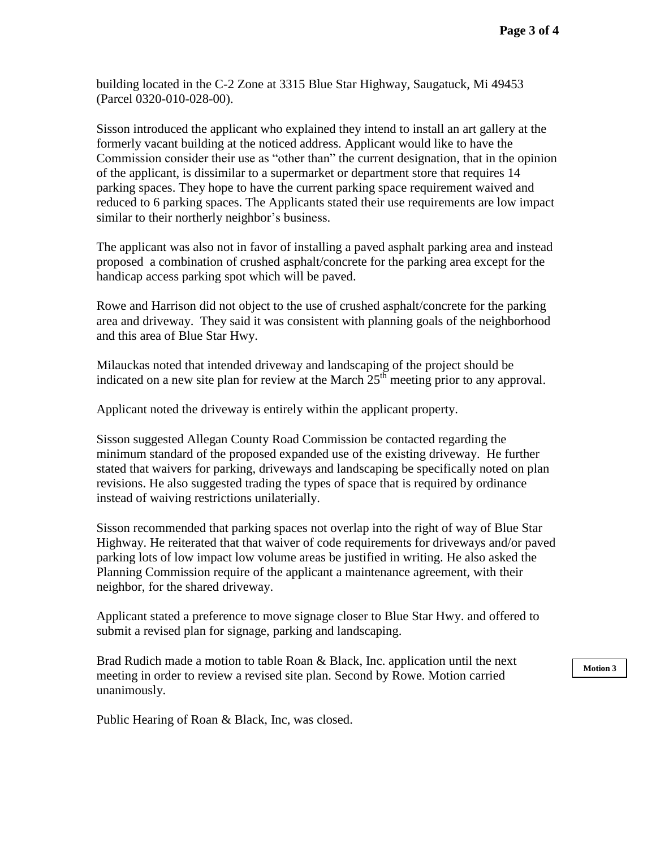building located in the C-2 Zone at 3315 Blue Star Highway, Saugatuck, Mi 49453 (Parcel 0320-010-028-00).

Sisson introduced the applicant who explained they intend to install an art gallery at the formerly vacant building at the noticed address. Applicant would like to have the Commission consider their use as "other than" the current designation, that in the opinion of the applicant, is dissimilar to a supermarket or department store that requires 14 parking spaces. They hope to have the current parking space requirement waived and reduced to 6 parking spaces. The Applicants stated their use requirements are low impact similar to their northerly neighbor's business.

The applicant was also not in favor of installing a paved asphalt parking area and instead proposed a combination of crushed asphalt/concrete for the parking area except for the handicap access parking spot which will be paved.

Rowe and Harrison did not object to the use of crushed asphalt/concrete for the parking area and driveway. They said it was consistent with planning goals of the neighborhood and this area of Blue Star Hwy.

Milauckas noted that intended driveway and landscaping of the project should be indicated on a new site plan for review at the March  $25<sup>th</sup>$  meeting prior to any approval.

Applicant noted the driveway is entirely within the applicant property.

Sisson suggested Allegan County Road Commission be contacted regarding the minimum standard of the proposed expanded use of the existing driveway. He further stated that waivers for parking, driveways and landscaping be specifically noted on plan revisions. He also suggested trading the types of space that is required by ordinance instead of waiving restrictions unilaterially.

Sisson recommended that parking spaces not overlap into the right of way of Blue Star Highway. He reiterated that that waiver of code requirements for driveways and/or paved parking lots of low impact low volume areas be justified in writing. He also asked the Planning Commission require of the applicant a maintenance agreement, with their neighbor, for the shared driveway.

Applicant stated a preference to move signage closer to Blue Star Hwy. and offered to submit a revised plan for signage, parking and landscaping.

Brad Rudich made a motion to table Roan & Black, Inc. application until the next meeting in order to review a revised site plan. Second by Rowe. Motion carried unanimously.

**Motion 3**

Public Hearing of Roan & Black, Inc, was closed.